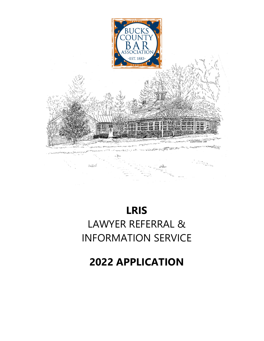

# **LRIS** LAWYER REFERRAL & INFORMATION SERVICE

**2022 APPLICATION**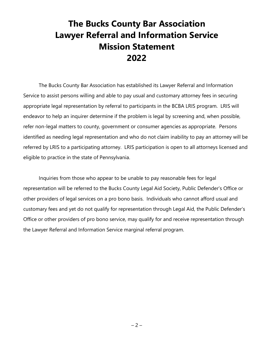# **The Bucks County Bar Association Lawyer Referral and Information Service Mission Statement 2022**

The Bucks County Bar Association has established its Lawyer Referral and Information Service to assist persons willing and able to pay usual and customary attorney fees in securing appropriate legal representation by referral to participants in the BCBA LRIS program. LRIS will endeavor to help an inquirer determine if the problem is legal by screening and, when possible, refer non-legal matters to county, government or consumer agencies as appropriate. Persons identified as needing legal representation and who do not claim inability to pay an attorney will be referred by LRIS to a participating attorney. LRIS participation is open to all attorneys licensed and eligible to practice in the state of Pennsylvania.

Inquiries from those who appear to be unable to pay reasonable fees for legal representation will be referred to the Bucks County Legal Aid Society, Public Defender's Office or other providers of legal services on a pro bono basis. Individuals who cannot afford usual and customary fees and yet do not qualify for representation through Legal Aid, the Public Defender's Office or other providers of pro bono service, may qualify for and receive representation through the Lawyer Referral and Information Service marginal referral program.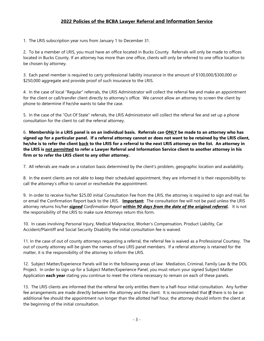#### **2022 Policies of the BCBA Lawyer Referral and Information Service**

1. The LRIS subscription year runs from January 1 to December 31.

2. To be a member of LRIS, you must have an office located in Bucks County. Referrals will only be made to offices located in Bucks County. If an attorney has more than one office, clients will only be referred to *one* office location to be chosen by attorney.

3. Each panel member is required to carry professional liability insurance in the amount of \$100,000/\$300,000 or \$250,000 aggregate and provide proof of such insurance to the LRIS.

4. In the case of local "Regular" referrals, the LRIS Administrator will collect the referral fee and make an appointment for the client or call/transfer client directly to attorney's office. We cannot allow an attorney to screen the client by phone to determine if he/she wants to take the case.

5. In the case of the "Out Of State" referrals, the LRIS Administrator will collect the referral fee and set up a phone consultation for the client to call the referral attorney.

6. **Membership in a LRIS panel is on an individual basis. Referrals can ONLY be made to an attorney who has signed up for a particular panel. If a referral attorney cannot or does not want to be retained by the LRIS client, he/she is to refer the client back to the LRIS for a referral to the next LRIS attorney on the list. An attorney in the LRIS is not permitted to refer a Lawyer Referral and Information Service client to another attorney in his firm or to refer the LRIS client to any other attorney.** 

7. All referrals are made on a rotation basis determined by the client's problem, geographic location and availability.

8. In the event clients are not able to keep their scheduled appointment, they are informed it is their responsibility to call the attorney's office to cancel or reschedule the appointment.

9. In order to receive his/her \$25.00 initial Consultation Fee from the LRIS, the attorney is required to sign and mail, fax or email the Confirmation Report back to the LRIS. **Important:** The consultation fee will not be paid unless the LRIS attorney returns his/her *signed Confirmation Report* **within** *90 days from the date of the original referral.* It is not the responsibility of the LRIS to make sure Attorneys return this form.

10. In cases involving Personal Injury, Medical Malpractice, Worker's Compensation, Product Liability, Car Accident/Plaintiff and Social Security Disability the initial consultation fee is waived.

11. In the case of out of county attorneys requesting a referral, the referral fee is waived as a Professional Courtesy. The out of county attorney will be given the names of two LRIS panel members. If a referral attorney is retained for the matter, it is the responsibility of the attorney to inform the LRIS.

12. Subject Matter/Experience Panels will be in the following areas of law: Mediation, Criminal, Family Law & the DOL Project. In order to sign up for a Subject Matter/Experience Panel, you must return your signed Subject Matter Application **each year** stating you continue to meet the criteria necessary to remain on each of these panels.

13. The LRIS clients are informed that the referral fee only entitles them to a half-hour initial consultation. Any further fee arrangements are made directly between the attorney and the client. It is recommended that **if** there is to be an additional fee should the appointment run longer than the allotted half hour, the attorney should inform the client at the beginning of the initial consultation.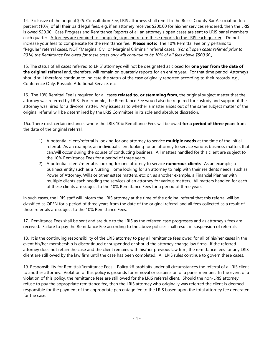14. Exclusive of the original \$25. Consultation Fee, LRIS attorneys shall remit to the Bucks County Bar Association ten percent (10%) of **all** their paid legal fees, e.g. if an attorney receives \$200.00 for his/her services rendered, then the LRIS is owed \$20.00. Case Progress and Remittance Reports of all an attorney's open cases are sent to LRIS panel members each quarter. Attorneys are required to complete, sign and return these reports to the LRIS each quarter. Do not increase your fees to compensate for the remittance fee. **Please note:** The 10% Remittal Fee only pertains to "Regular" referral cases, NOT "Marginal Civil or Marginal Criminal" referral cases. (*For all open cases referred prior to 2014, the Remittance Fee owed for these cases only will continue to be 10% of all fees above \$500.00.)*

15. The status of all cases referred to LRIS' attorneys will not be designated as closed for **one year from the date of the original referral** and, therefore, will remain on quarterly reports for an entire year. For that time period, Attorneys should still therefore continue to indicate the status of the case originally reported according to their records, e.g., Conference Only, Possible Additional Service, etc.

16. The 10% Remittal Fee is required for all cases **related to, or stemming from**, the original subject matter that the attorney was referred by LRIS. For example, the Remittance Fee would also be required for custody and support if the attorney was hired for a divorce matter. Any issues as to whether a matter arises out of the same subject matter of the original referral will be determined by the LRIS Committee in its sole and absolute discretion.

16a. There exist certain instances where the LRIS 10% Remittance Fees will be owed **for a period of three years** from the date of the original referral:

- 1) A potential client/referral is looking for one attorney to service **multiple needs** at the time of the initial referral. As an example, an individual client looking for an attorney to service various business matters that can/will occur during the course of conducting business. All matters handled for this client are subject to the 10% Remittance Fees for a period of three years.
- 2) A potential client/referral is looking for one attorney to service **numerous clients**. As an example, a business entity such as a Nursing Home looking for an attorney to help with their residents needs, such as Power of Attorney, Wills or other estate matters, etc; or, as another example, a Financial Planner with multiple clients each needing the services of an attorney for various matters. All matters handled for each of these clients are subject to the 10% Remittance Fees for a period of three years.

In such cases, the LRIS staff will inform the LRIS attorney at the time of the original referral that this referral will be classified as OPEN for a period of three years from the date of the original referral and all fees collected as a result of these referrals are subject to the 10% Remittance Fees.

17. Remittance Fees shall be sent and are due to the LRIS as the referred case progresses and as attorney's fees are received. Failure to pay the Remittance Fee according to the above policies shall result in suspension of referrals.

18. It is the continuing responsibility of the LRIS attorney to pay all remittance fees owed for all of his/her cases in the event his/her membership is discontinued or suspended or should the attorney change law firms. If the referred attorney does not retain the case and the client remains with his/her previous law firm, the remittance fees for any LRIS client are still owed by the law firm until the case has been completed. All LRIS rules continue to govern these cases.

19. Responsibility for Remittal/Remittance Fees – Policy #6 prohibits under all circumstances the referral of a LRIS client to another attorney. Violation of this policy is grounds for removal or suspension of a panel member. In the event of a violation of this policy, the remittance fees are still owed for the LRIS referral client. Should the non-LRIS attorney refuse to pay the appropriate remittance fee, then the LRIS attorney who originally was referred the client is deemed responsible for the payment of the appropriate percentage fee to the LRIS based upon the total attorney fee generated for the case.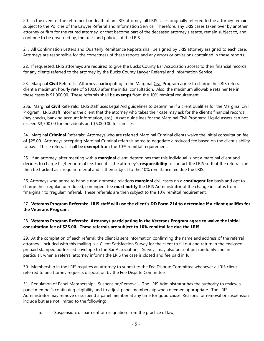20. In the event of the retirement or death of an LRIS attorney, all LRIS cases originally referred to the attorney remain subject to the Policies of the Lawyer Referral and Information Service. Therefore, any LRIS cases taken over by another attorney or firm for the retired attorney, or that become part of the deceased attorney's estate, remain subject to, and continue to be governed by, the rules and policies of the LRIS.

21. All Confirmation Letters and Quarterly Remittance Reports shall be signed by LRIS attorney assigned to each case. Attorneys are responsible for the correctness of these reports and any errors or omissions contained in these reports.

22. If requested, LRIS attorneys are required to give the Bucks County Bar Association access to their financial records for any clients referred to the attorney by the Bucks County Lawyer Referral and Information Service.

23. Marginal **Civil** Referrals: Attorneys participating in the Marginal Civil Program agree to charge the LRIS referral client a maximum hourly rate of \$100.00 after the initial consultation. Also, the maximum allowable retainer fee in these cases is \$1,000.00. These referrals shall be **exempt** from the 10% remittal requirement.

23a. Marginal **Civil** Referrals: LRIS staff uses Legal Aid guidelines to determine if a client qualifies for the Marginal Civil Program. LRIS staff informs the client that the attorney who takes their case may ask for the client's financial records (pay checks, banking account information, etc.). Asset guidelines for the Marginal Civil Program: Liquid assets can not exceed \$3,500.00 for individuals and \$5,000.00 for families.

24. Marginal **Criminal** Referrals: Attorneys who are referred Marginal Criminal clients waive the initial consultation fee of \$25.00. Attorneys accepting Marginal Criminal referrals agree to negotiate a reduced fee based on the client's ability to pay. These referrals shall be **exempt** from the 10% remittal requirement.

25. If an attorney, after meeting with a **marginal** client, determines that this individual is not a marginal client and decides to charge his/her normal fee, then it is the attorney's **responsibility** to contact the LRIS so that the referral can then be tracked as a regular referral and is then subject to the 10% remittance fee due the LRIS.

26. Attorneys who agree to handle non-domestic relations **marginal** civil cases on a **contingent fee** basis and opt to charge their regular, unreduced, contingent fee **must notify** the LRIS Administrator of the change in status from "marginal" to "regular" referral. These referrals are then subject to the 10% remittal requirement.

#### 27. **Veterans Program Referrals: LRIS staff will use the client's DD Form 214 to determine if a client qualifies for the Veterans Program.**

#### 28. **Veterans Program Referrals: Attorneys participating in the Veterans Program agree to waive the initial consultation fee of \$25.00. These referrals are subject to 10% remittal fee due the LRIS**.

29. At the completion of each referral, the client is sent information confirming the name and address of the referral attorney. Included with this mailing is a Client Satisfaction Survey for the client to fill out and return in the enclosed prepaid stamped addressed envelope to the Bar Association. Surveys may also be sent out randomly and, in particular, when a referral attorney informs the LRIS the case is closed and fee paid in full.

30. Membership in the LRIS requires an attorney to submit to the Fee Dispute Committee whenever a LRIS client referred to an attorney requests disposition by the Fee Dispute Committee.

31. Regulation of Panel Membership – Suspension/Removal – The LRIS Administrator has the authority to review a panel member's continuing eligibility and to adjust panel membership when deemed appropriate. The LRIS Administrator may remove or suspend a panel member at any time for good cause. Reasons for removal or suspension include but are not limited to the following:

a. Suspension, disbarment or resignation from the practice of law;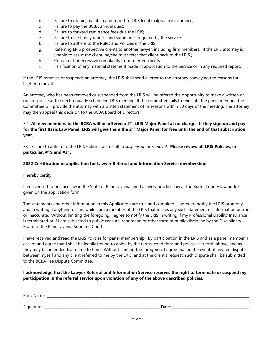- b. Failure to obtain, maintain and report to LRIS legal malpractice insurance;
- c. Failure to pay the BCBA annual dues;
- d. Failure to forward remittance fees due the LRIS;
- e. Failure to file timely reports and summaries required by the service;
- f. Failure to adhere to the Rules and Policies of the LRIS;
- g. Referring LRIS prospective clients to another lawyer, including firm members. (If the LRIS attorney is unable to assist the client, he/she must refer that client back to the LRIS.)
- h. Consistent or excessive complaints from referred clients;
- i. Falsification of any material statement made in application to the Service or in any required report.

If the LRIS removes or suspends an attorney, the LRIS shall send a letter to the attorney conveying the reasons for his/her removal.

An attorney who has been removed or suspended from the LRIS will be offered the opportunity to make a written or oral response at the next regularly scheduled LRIS meeting. If the committee fails to reinstate the panel member, the Committee will provide the attorney with a written statement of its reasons within 30 days of the meeting. The attorney may then appeal this decision to the BCBA Board of Directors.

#### 32. **All new members to the BCBA will be offered a 2nd LRIS Major Panel at no charge. If they sign up and pay for the first Basic Law Panel, LRIS will give them the 2nd Major Panel for free until the end of that subscription year.**

33. Failure to adhere to the LRIS Policies will result in *suspension or removal*. **Please review all LRIS Policies, in particular, #19 and #31.**

#### **2022 Certification of application for Lawyer Referral and Information Service membership:**

I hereby certify:

I am licensed to practice law in the State of Pennsylvania and I actively practice law at the Bucks County law address given on the application form.

The statements and other information in this Application are true and complete. I agree to notify the LRIS promptly and in writing if anything occurs while I am a member of the LRIS that makes any such statement or information untrue or inaccurate. Without limiting the foregoing, I agree to notify the LRIS in writing if my Professional Liability Insurance is terminated or if I am subjected to public censure, reprimand or other form of public discipline by the Disciplinary Board of the Pennsylvania Supreme Court.

I have received and read the LRIS Policies for panel membership. By participation in the LRIS and as a panel member, I accept and agree that I shall be legally bound to abide by the terms, conditions and policies set forth above, and as they may be amended from time to time. Without limiting the foregoing, I agree that, in the event of any fee dispute between myself and any client referred to me by the LRIS, and at the client's request, such dispute shall be submitted to the BCBA Fee Dispute Committee.

#### **I acknowledge that the Lawyer Referral and Information Service reserves the right to terminate or suspend my participation in the referral service upon violation of any of the above described policies.**

| Print Name: |       |
|-------------|-------|
|             |       |
| Signature:  | Date: |
| <u>.</u>    |       |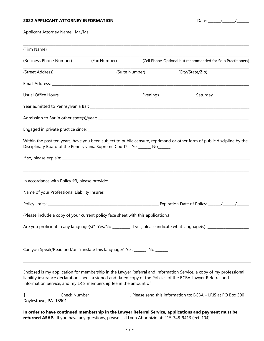#### **2022 APPLICANT ATTORNEY INFORMATION** Date: \_\_\_\_\_\_\_/\_\_\_\_\_\_\_/\_\_\_\_\_\_\_

| nt∩∙<br>d I I |  |
|---------------|--|
|---------------|--|

Applicant Attorney Name: Mr./Ms.

| (Firm Name)                                                                                      |              |                |                                                                                                                                                                                                                                       |
|--------------------------------------------------------------------------------------------------|--------------|----------------|---------------------------------------------------------------------------------------------------------------------------------------------------------------------------------------------------------------------------------------|
| (Business Phone Number)                                                                          | (Fax Number) |                | (Cell Phone-Optional but recommended for Solo Practitioners)                                                                                                                                                                          |
| (Street Address)                                                                                 |              | (Suite Number) | (City/State/Zip)                                                                                                                                                                                                                      |
|                                                                                                  |              |                |                                                                                                                                                                                                                                       |
|                                                                                                  |              |                |                                                                                                                                                                                                                                       |
|                                                                                                  |              |                |                                                                                                                                                                                                                                       |
|                                                                                                  |              |                |                                                                                                                                                                                                                                       |
|                                                                                                  |              |                |                                                                                                                                                                                                                                       |
| Disciplinary Board of the Pennsylvania Supreme Court? Yes______ No______                         |              |                | Within the past ten years, have you been subject to public censure, reprimand or other form of public discipline by the                                                                                                               |
|                                                                                                  |              |                |                                                                                                                                                                                                                                       |
| In accordance with Policy #3, please provide:                                                    |              |                | ,我们也不能在这里的时候,我们也不能在这里的时候,我们也不能在这里的时候,我们也不能会不能在这里的时候,我们也不能会不能会不能会不能会不能会不能会不能会不能会不                                                                                                                                                      |
|                                                                                                  |              |                |                                                                                                                                                                                                                                       |
| (Please include a copy of your current policy face sheet with this application.)                 |              |                |                                                                                                                                                                                                                                       |
|                                                                                                  |              |                | Are you proficient in any language(s)? Yes/No _________ If yes, please indicate what language(s): _______________                                                                                                                     |
|                                                                                                  |              |                |                                                                                                                                                                                                                                       |
| Can you Speak/Read and/or Translate this language? Yes ______ No ______                          |              |                |                                                                                                                                                                                                                                       |
| Information Service, and my LRIS membership fee in the amount of:                                |              |                | Enclosed is my application for membership in the Lawyer Referral and Information Service, a copy of my professional<br>liability insurance declaration sheet, a signed and dated copy of the Policies of the BCBA Lawyer Referral and |
| Doylestown, PA 18901.                                                                            |              |                |                                                                                                                                                                                                                                       |
| returned ASAP. If you have any questions, please call Lynn Abbonizio at: 215-348-9413 (ext. 104) |              |                | In order to have continued membership in the Lawyer Referral Service, applications and payment must be                                                                                                                                |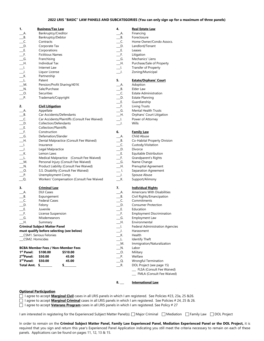#### **2022 LRIS "BASIC" LAW PANELS AND SUBCATEGORIES (You can only sign up for a maximum of three panels)**

| 1.                          | <b>Business/Tax Law</b>              |                                               | 4.                          | <b>Real Estate Law</b>                 |
|-----------------------------|--------------------------------------|-----------------------------------------------|-----------------------------|----------------------------------------|
| A.                          | Bankruptcy/Creditor                  |                                               | A.                          | Financing                              |
| B.                          | Bankruptcy/Debtor                    |                                               | _B.                         | Foreclosure                            |
| $\_\mathsf{C}.$             | Contracts                            |                                               | $\overline{\phantom{a}}$ C. | Home Owner/Condo Assocs.               |
| D.                          | Corporate Tax                        |                                               | D.                          | Landlord/Tenant                        |
| E.                          | Corporations                         |                                               | E.                          | Leases                                 |
| $F$ .                       | <b>Fictitious Names</b>              |                                               | <u>___F.</u>                | Litigation                             |
| $\overline{\phantom{0}}$ G. | Franchising                          |                                               | $\_G.$                      | Mechanics' Liens                       |
| $\_$ H.                     | Individual Tax                       |                                               | $\_$ H.                     | Purchase/Sale of Property              |
| $\Box$                      | Internet Law                         |                                               | $\perp$                     | <b>Transfer of Property</b>            |
| $\Box$                      | Liquor License                       |                                               | $\Box$                      | Zoning/Municipal                       |
| $K$ .                       |                                      |                                               |                             |                                        |
|                             | Partnership                          |                                               |                             |                                        |
| $\perp$                     | Patent                               |                                               | 5.                          | <b>Estate/Orphans' Court</b>           |
| $-M.$                       |                                      | Pension/Profit Sharing/401K                   | _A.                         | Adoption                               |
| $\blacksquare$ N.           | Sale/Purchase                        |                                               | В.                          | Elder Law                              |
| $\overline{\phantom{0}}$ .  | Securities                           |                                               | _C.                         | <b>Estate Administration</b>           |
| $P$ .                       | Trademark/Copyright                  |                                               | D.                          | <b>Estate Planning</b>                 |
|                             |                                      |                                               | _E.                         | Guardianship                           |
| 2.                          | <b>Civil Litigation</b>              |                                               | $\equiv$ F.                 | Living Trusts                          |
| $A$ .                       | Appellate                            |                                               | $-G.$                       | <b>Mental Health Trusts</b>            |
| B.                          |                                      | Car Accidents/Defendants                      | $\_$ H.                     | Orphans' Court Litigation              |
| $\_\mathsf{C}.$             |                                      | Car Accidents/Plaintiffs (Consult Fee Waived) | $\Box$                      | Power of Attorney                      |
| $\_$ D.                     | Collection/Defendants                |                                               | $\Box$                      | Wills                                  |
| E.                          | <b>Collection/Plaintiffs</b>         |                                               |                             |                                        |
|                             |                                      |                                               |                             |                                        |
| $-F.$                       | Construction                         |                                               | 6.                          | <b>Family Law</b>                      |
| $\overline{\phantom{a}}$ G. | Defamation/Slander                   |                                               | __A.                        | Child Abuse                            |
| $\_$ H.                     |                                      | Dental Malpractice (Consult Fee Waived)       | В.                          | Co-Habital Property Division           |
| $\Box$                      | Insurance                            |                                               | _C.                         | Custody/Visitation                     |
| $\_$ J.                     | Legal Malpractice                    |                                               | _D.                         | Divorce                                |
| $K$ .                       | Lemon Laws                           |                                               | E.                          | Equitable Distribution                 |
| __L.                        |                                      | Medical Malpractice (Consult Fee Waived)      | ___F.                       | Grandparent's Rights                   |
| $\_M$ .                     |                                      | Personal Injury (Consult Fee Waived)          | G.                          | Name Change                            |
| $N$ .                       |                                      | Product Liability (Consult Fee Waived)        | $-$ H.                      | Prenuptial Agreement                   |
| $\overline{\phantom{0}}$ 0. |                                      | S.S. Disability (Consult Fee Waived)          | $\rule{1em}{0.15mm}$ l.     | Separation Agreement                   |
| $P$ .                       | Unemployment Comp.                   |                                               | $\Box$                      | Spouse Abuse                           |
| $\Box$ Q.                   |                                      | Workers' Compensation (Consult Fee Waived     | $K$ .                       | Support/Alimony                        |
|                             |                                      |                                               |                             |                                        |
| 3.                          | <b>Criminal Law</b>                  |                                               | 7.                          | <b>Individual Rights</b>               |
| $\_\mathsf{A}$ .            | <b>DUI Cases</b>                     |                                               | $\_\mathsf{A}$ .            | Americans With Disabilities            |
| B.                          | Expungement                          |                                               | $\_\_\mathsf{B}$ .          | Civil Rights/Emancipation              |
| $\_\mathsf{C}.$             | <b>Federal Cases</b>                 |                                               | $\overline{\phantom{a}}$ C. | Commitments                            |
| $\Box$ D.                   | Felony                               |                                               | $\Box$ D.                   | <b>Consumer Protection</b>             |
| $\_\epsilon$ .              | Juvenile                             |                                               | $\equiv$ E.                 | Education                              |
| $\equiv$ F.                 | License Suspension                   |                                               | $-$ F.                      | <b>Employment Discrimination</b>       |
| $\_\_G$ .                   |                                      |                                               | G.                          |                                        |
|                             | Misdemeanors                         |                                               |                             | Employment Law                         |
| $\_$ H.                     | Summary                              |                                               | $\_$ H.                     | Environmental                          |
|                             | <b>Criminal Subject Matter Panel</b> |                                               | $\Box$ .                    | <b>Federal Administration Agencies</b> |
|                             |                                      | must qualify before selecting (see below)     | $\Box$                      | Harassment                             |
|                             | _CSM1. Serious Felonies              |                                               | $K$ .                       | Health                                 |
| _CSM2. Homicides            |                                      |                                               | $\overline{\phantom{a}}$    | Identify Theft                         |
|                             |                                      |                                               | M.                          | Immigration/Naturalization             |
|                             |                                      | <b>BCBA Member Fees / Non-Member Fees</b>     | $N$ .                       | Labor                                  |
| 1 <sup>st</sup> Panel:      | \$100.00                             | \$510.00                                      | $\overline{\phantom{0}}$ .  | Military                               |
| 2 <sup>nd</sup> Panel:      | \$50.00                              | 45.00                                         | P.                          | Welfare                                |
| 3 <sup>rd</sup> Panel:      | \$50.00                              | 45.00                                         | $Q$ .                       | Wrongful Termination                   |
| Total Amt. \$               |                                      | \$                                            | $R$ .                       | DOL Project (see page 15)              |
|                             |                                      |                                               |                             | FLSA (Consult Fee Waived)              |

#### **1. Business/Tax Law 4. Real Estate Law**

| Financing                   |
|-----------------------------|
| <b>Foreclosure</b>          |
| Home Owner/Condo Assocs.    |
| Landlord/Tenant             |
| Leases                      |
| Litigation                  |
| Mechanics' Liens            |
| Purchase/Sale of Property   |
| <b>Transfer of Property</b> |
| Zoning/Municipal            |

#### \_\_\_L. Patent **5. Estate/Orphans' Court**

| G.         | Defamation/Slander                        | A.              | Child Abuse                  |
|------------|-------------------------------------------|-----------------|------------------------------|
| H.         | Dental Malpractice (Consult Fee Waived)   | B.              | Co-Habital Property Division |
| $\Box$     | Insurance                                 | $\_\mathsf{C}.$ | Custody/Visitation           |
| $\Box$     | Legal Malpractice                         | $\Box$ D.       | Divorce                      |
| K.         | Lemon Laws                                | $E$ .           | Equitable Distribution       |
| $\perp$ L. | Medical Malpractice (Consult Fee Waived)  | $-F.$           | Grandparent's Rights         |
| M.         | Personal Injury (Consult Fee Waived)      | G.              | Name Change                  |
| N.         | Product Liability (Consult Fee Waived)    | <b>H.</b>       | <b>Prenuptial Agreement</b>  |
| $O$ .      | S.S. Disability (Consult Fee Waived)      | $\perp$ l.      | Separation Agreement         |
| $P$ .      | Unemployment Comp.                        | $\Box$          | Spouse Abuse                 |
| $\Box$ Q.  | Workers' Compensation (Consult Fee Waived | <b>Κ.</b>       | Support/Alimony              |
|            |                                           |                 |                              |

|     | Expungement                        |          | В.   |
|-----|------------------------------------|----------|------|
|     | <b>Federal Cases</b>               |          | C.   |
|     | Felony                             |          | D.   |
|     | Juvenile                           |          | - E. |
|     | License Suspension                 |          | E.   |
|     | <b>Misdemeanors</b>                |          | G.   |
|     | Summary                            |          | H.   |
|     | <b>Subject Matter Panel</b>        |          |      |
|     | alify before selecting (see below) |          |      |
|     | . Serious Felonies                 |          | K.   |
|     | Homicides                          |          | L.   |
|     |                                    |          | М.   |
|     | ember Fees / Non-Member Fees       |          | N.   |
| l:  | \$100.00                           | \$510.00 | O.   |
| I:  | \$50.00                            | 45.00    | P.   |
| ŀ.  | \$50.00                            | 45.00    | Q.   |
| nt. | S.                                 | \$       | R.   |
|     |                                    |          |      |
|     |                                    |          |      |

#### **3. Criminal Law 7. Individual Rights**

| А.             | Americans With Disabilities            |
|----------------|----------------------------------------|
| В.             | Civil Rights/Emancipation              |
| C.             | Commitments                            |
| D.             | <b>Consumer Protection</b>             |
| Е.             | Education                              |
| F.             | <b>Employment Discrimination</b>       |
| G.             | <b>Employment Law</b>                  |
| H.             | Environmental                          |
| $\blacksquare$ | <b>Federal Administration Agencies</b> |
| J.             | Harassment                             |
| K.             | Health                                 |
| L.             | <b>Identify Theft</b>                  |
| M.             | Immigration/Naturalization             |
| N.             | Labor                                  |
| O.             | Military                               |
| Ρ.             | Welfare                                |
| Q.             | Wrongful Termination                   |
| R.             | DOL Project (see page 15)              |
|                | FLSA (Consult Fee Waived)              |
|                | FMLA (Consult Fee Waived)              |
|                |                                        |
|                |                                        |

#### **8.** \_\_\_ **International Law**

#### **Optional Participation**

I agree to accept **Marginal Civil** cases in all LRIS panels in which I am registered. See Policies #23, 23a, 25 &26.

- I agree to accept **Marginal Criminal** cases in all LRIS panels in which I am registered. See Policies # 24, 25 & 26.
- I agree to accept **Veterans Program** cases in all LRIS panels in which I am registered. See Policy # 27

I am interested in registering for the Experienced Subject Matter Panel(s).  $\Box$  Major Criminal  $\Box$  Mediation  $\Box$  Family Law  $\Box$  DOL Project

In order to remain on the Criminal Subject Matter Panel, Family Law Experienced Panel, Mediation Experienced Panel or the DOL Project, it is required that you sign and return this year's Experienced Panel Application indicating you still meet the criteria necessary to remain on each of these panels. Applications can be found on pages 11, 12, 13 & 15.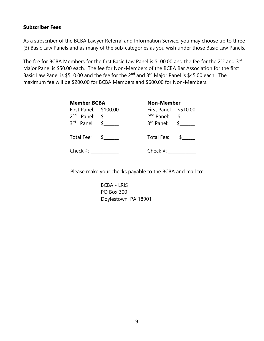### **Subscriber Fees**

As a subscriber of the BCBA Lawyer Referral and Information Service, you may choose up to three (3) Basic Law Panels and as many of the sub-categories as you wish under those Basic Law Panels.

The fee for BCBA Members for the first Basic Law Panel is \$100.00 and the fee for the 2<sup>nd</sup> and 3<sup>rd</sup> Major Panel is \$50.00 each. The fee for Non-Members of the BCBA Bar Association for the first Basic Law Panel is \$510.00 and the fee for the 2<sup>nd</sup> and 3<sup>rd</sup> Major Panel is \$45.00 each. The maximum fee will be \$200.00 for BCBA Members and \$600.00 for Non-Members.

| <b>Member BCBA</b>                         |          | <b>Non-Member</b>                                                       |               |  |
|--------------------------------------------|----------|-------------------------------------------------------------------------|---------------|--|
| First Panel: \$100.00<br>2 <sub>nd</sub>   |          | First Panel: \$510.00                                                   |               |  |
| Panel: \$<br>$3^{rd}$ Panel: $\frac{6}{3}$ |          | $2nd$ Panel: $\quad \quad \frac{1}{2}$<br>$3^{rd}$ Panel: $\frac{1}{2}$ |               |  |
| Total Fee:                                 | $\sim$ 5 | Total Fee:                                                              | $\mathsf{\$}$ |  |
| Check $#$ :                                |          | Check $#$ :                                                             |               |  |

Please make your checks payable to the BCBA and mail to:

BCBA - LRIS PO Box 300 Doylestown, PA 18901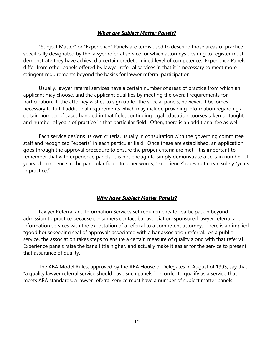### *What are Subject Matter Panels?*

"Subject Matter" or "Experience" Panels are terms used to describe those areas of practice specifically designated by the lawyer referral service for which attorneys desiring to register must demonstrate they have achieved a certain predetermined level of competence. Experience Panels differ from other panels offered by lawyer referral services in that it is necessary to meet more stringent requirements beyond the basics for lawyer referral participation.

Usually, lawyer referral services have a certain number of areas of practice from which an applicant may choose, and the applicant qualifies by meeting the overall requirements for participation. If the attorney wishes to sign up for the special panels, however, it becomes necessary to fulfill additional requirements which may include providing information regarding a certain number of cases handled in that field, continuing legal education courses taken or taught, and number of years of practice in that particular field. Often, there is an additional fee as well.

Each service designs its own criteria, usually in consultation with the governing committee, staff and recognized "experts" in each particular field. Once these are established, an application goes through the approval procedure to ensure the proper criteria are met. It is important to remember that with experience panels, it is not enough to simply demonstrate a certain number of years of experience in the particular field. In other words, "experience" does not mean solely "years in practice."

### *Why have Subject Matter Panels?*

Lawyer Referral and Information Services set requirements for participation beyond admission to practice because consumers contact bar association-sponsored lawyer referral and information services with the expectation of a referral to a competent attorney. There is an implied "good housekeeping seal of approval" associated with a bar association referral. As a public service, the association takes steps to ensure a certain measure of quality along with that referral. Experience panels raise the bar a little higher, and actually make it easier for the service to present that assurance of quality.

The ABA Model Rules, approved by the ABA House of Delegates in August of 1993, say that "a quality lawyer referral service should have such panels." In order to qualify as a service that meets ABA standards, a lawyer referral service must have a number of subject matter panels.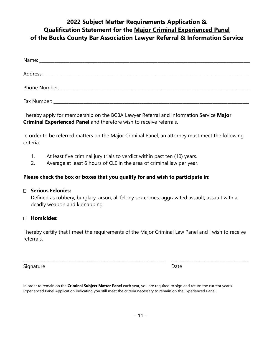## **2022 Subject Matter Requirements Application & Qualification Statement for the Major Criminal Experienced Panel of the Bucks County Bar Association Lawyer Referral & Information Service**

I hereby apply for membership on the BCBA Lawyer Referral and Information Service **Major Criminal Experienced Panel** and therefore wish to receive referrals.

In order to be referred matters on the Major Criminal Panel, an attorney must meet the following criteria:

- 1. At least five criminal jury trials to verdict within past ten (10) years.
- 2. Average at least 6 hours of CLE in the area of criminal law per year.

### **Please check the box or boxes that you qualify for and wish to participate in:**

### **Serious Felonies:**

Defined as robbery, burglary, arson, all felony sex crimes, aggravated assault, assault with a deadly weapon and kidnapping.

### **Homicides:**

I hereby certify that I meet the requirements of the Major Criminal Law Panel and I wish to receive referrals.

\_\_\_\_\_\_\_\_\_\_\_\_\_\_\_\_\_\_\_\_\_\_\_\_\_\_\_\_\_\_\_\_\_\_\_\_\_\_\_\_\_\_\_\_\_\_\_\_\_\_\_\_\_\_\_\_\_\_\_\_\_\_\_\_\_\_ \_\_\_\_\_\_\_\_\_\_\_\_\_\_\_\_\_\_\_\_\_\_\_\_\_\_\_\_\_\_\_\_\_\_\_\_

Signature Date Date Date Date Date Date Date

In order to remain on the **Criminal Subject Matter Panel** each year, you are required to sign and return the current year's Experienced Panel Application indicating you still meet the criteria necessary to remain on the Experienced Panel.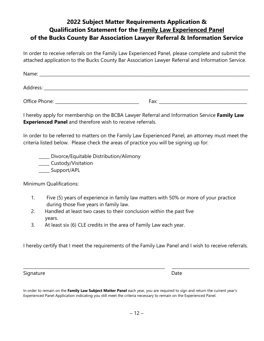## **2022 Subject Matter Requirements Application & Qualification Statement for the Family Law Experienced Panel of the Bucks County Bar Association Lawyer Referral & Information Service**

In order to receive referrals on the Family Law Experienced Panel, please complete and submit the attached application to the Bucks County Bar Association Lawyer Referral and Information Service.

| Name:         |      |  |
|---------------|------|--|
| Address:      |      |  |
| Office Phone: | Fax: |  |

I hereby apply for membership on the BCBA Lawyer Referral and Information Service **Family Law Experienced Panel** and therefore wish to receive referrals.

In order to be referred to matters on the Family Law Experienced Panel, an attorney must meet the criteria listed below. Please check the areas of practice you will be signing up for:

\_\_\_\_\_ Divorce/Equitable Distribution/Alimony \_\_\_\_ Custody/Visitation \_\_\_\_\_ Support/APL

Minimum Qualifications:

- 1. Five (5) years of experience in family law matters with 50% or more of your practice during those five years in family law.
- 2. Handled at least two cases to their conclusion within the past five years.
- 3. At least six (6) CLE credits in the area of Family Law each year.

I hereby certify that I meet the requirements of the Family Law Panel and I wish to receive referrals.

\_\_\_\_\_\_\_\_\_\_\_\_\_\_\_\_\_\_\_\_\_\_\_\_\_\_\_\_\_\_\_\_\_\_\_\_\_\_\_\_\_\_\_\_\_\_\_\_\_\_\_\_\_\_\_\_\_\_\_\_\_\_\_\_\_\_ \_\_\_\_\_\_\_\_\_\_\_\_\_\_\_\_\_\_\_\_\_\_\_\_\_\_\_\_\_\_\_\_\_\_\_\_

Signature Date

In order to remain on the **Family Law Subject Matter Panel** each year, you are required to sign and return the current year's Experienced Panel Application indicating you still meet the criteria necessary to remain on the Experienced Panel.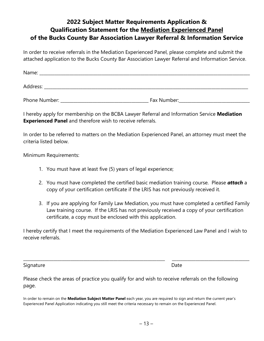## **2022 Subject Matter Requirements Application & Qualification Statement for the Mediation Experienced Panel of the Bucks County Bar Association Lawyer Referral & Information Service**

In order to receive referrals in the Mediation Experienced Panel, please complete and submit the attached application to the Bucks County Bar Association Lawyer Referral and Information Service.

| Name:    |  |  |  |
|----------|--|--|--|
|          |  |  |  |
| Address: |  |  |  |
|          |  |  |  |

Phone Number: The Contract of the Second Phone Number:

I hereby apply for membership on the BCBA Lawyer Referral and Information Service **Mediation Experienced Panel** and therefore wish to receive referrals.

In order to be referred to matters on the Mediation Experienced Panel, an attorney must meet the criteria listed below.

Minimum Requirements:

- 1. You must have at least five (5) years of legal experience;
- 2. You must have completed the certified basic mediation training course. Please *attach* a copy of your certification certificate if the LRIS has not previously received it.
- 3. If you are applying for Family Law Mediation, you must have completed a certified Family Law training course. If the LRIS has not previously received a copy of your certification certificate, a copy must be enclosed with this application.

I hereby certify that I meet the requirements of the Mediation Experienced Law Panel and I wish to receive referrals.

\_\_\_\_\_\_\_\_\_\_\_\_\_\_\_\_\_\_\_\_\_\_\_\_\_\_\_\_\_\_\_\_\_\_\_\_\_\_\_\_\_\_\_\_\_\_\_\_\_\_\_\_\_\_\_\_\_\_\_\_\_\_\_\_\_\_ \_\_\_\_\_\_\_\_\_\_\_\_\_\_\_\_\_\_\_\_\_\_\_\_\_\_\_\_\_\_\_\_\_\_\_\_

Signature Date Date Date Date Date Date

Please check the areas of practice you qualify for and wish to receive referrals on the following page.

In order to remain on the **Mediation Subject Matter Panel** each year, you are required to sign and return the current year's Experienced Panel Application indicating you still meet the criteria necessary to remain on the Experienced Panel.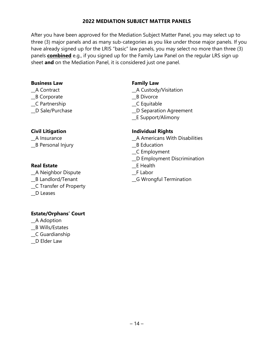### **2022 MEDIATION SUBJECT MATTER PANELS**

After you have been approved for the Mediation Subject Matter Panel, you may select up to three (3) major panels and as many sub-categories as you like under those major panels. If you have already signed up for the LRIS "basic" law panels, you may select no more than three (3) panels **combined** e.g., if you signed up for the Family Law Panel on the regular LRS sign up sheet **and** on the Mediation Panel, it is considered just one panel.

#### **Business Law**  Family Law

- \_\_A Contract \_\_A Custody/Visitation
- Let Corporate the Corporate the Corporate the Corporate contract and the Let Divorce
- \_\_C Partnership \_\_C Equitable
- 

Let B Personal Injury the Contraction of the B Education

### **Real Estate External Extending Line Contracts** Extending Extending Extending Extending Extending Extending Extending Extending Extending Extending Extending Extending Extending Extending Extending Extending Extending Ex

\_\_A Neighbor Dispute \_\_F Labor \_\_C Transfer of Property \_\_D Leases

- 
- \_\_D Sale/Purchase \_\_D Separation Agreement
	- \_\_E Support/Alimony

### **Civil Litigation Individual Rights**

- \_\_A Insurance \_\_A Americans With Disabilities
	-
	- \_\_C Employment
	- \_\_D Employment Discrimination
	-
	-
- \_\_B Landlord/Tenant \_\_G Wrongful Termination

### **Estate/Orphans' Court**

- \_\_A Adoption
- \_\_B Wills/Estates
- \_\_C Guardianship
- \_\_D Elder Law